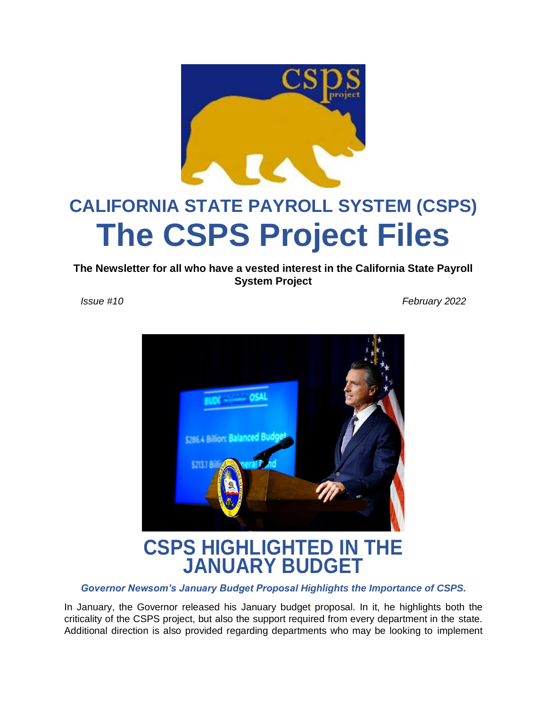

# **CALIFORNIA STATE PAYROLL SYSTEM (CSPS) The CSPS Project Files**

**The Newsletter for all who have a vested interest in the California State Payroll System Project**

*Issue #10 February 2022*



**CSPS HIGHLIGHTED IN THE JANUARY BUDGET**

*Governor Newsom's January Budget Proposal Highlights the Importance of CSPS.*

In January, the Governor released his January budget proposal. In it, he highlights both the criticality of the CSPS project, but also the support required from every department in the state. Additional direction is also provided regarding departments who may be looking to implement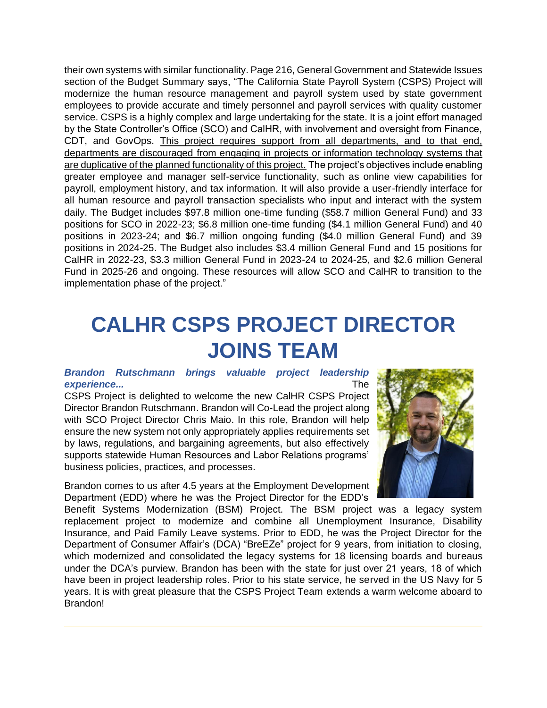their own systems with similar functionality. Page 216, General Government and Statewide Issues section of the Budget Summary says, "The California State Payroll System (CSPS) Project will modernize the human resource management and payroll system used by state government employees to provide accurate and timely personnel and payroll services with quality customer service. CSPS is a highly complex and large undertaking for the state. It is a joint effort managed by the State Controller's Office (SCO) and CalHR, with involvement and oversight from Finance, CDT, and GovOps. This project requires support from all departments, and to that end, departments are discouraged from engaging in projects or information technology systems that are duplicative of the planned functionality of this project. The project's objectives include enabling greater employee and manager self-service functionality, such as online view capabilities for payroll, employment history, and tax information. It will also provide a user-friendly interface for all human resource and payroll transaction specialists who input and interact with the system daily. The Budget includes \$97.8 million one-time funding (\$58.7 million General Fund) and 33 positions for SCO in 2022-23; \$6.8 million one-time funding (\$4.1 million General Fund) and 40 positions in 2023-24; and \$6.7 million ongoing funding (\$4.0 million General Fund) and 39 positions in 2024-25. The Budget also includes \$3.4 million General Fund and 15 positions for CalHR in 2022-23, \$3.3 million General Fund in 2023-24 to 2024-25, and \$2.6 million General Fund in 2025-26 and ongoing. These resources will allow SCO and CalHR to transition to the implementation phase of the project."

### **CALHR CSPS PROJECT DIRECTOR JOINS TEAM**

#### *Brandon Rutschmann brings valuable project leadership experience...* The

CSPS Project is delighted to welcome the new CalHR CSPS Project Director Brandon Rutschmann. Brandon will Co-Lead the project along with SCO Project Director Chris Maio. In this role, Brandon will help ensure the new system not only appropriately applies requirements set by laws, regulations, and bargaining agreements, but also effectively supports statewide Human Resources and Labor Relations programs' business policies, practices, and processes.

Brandon comes to us after 4.5 years at the Employment Development Department (EDD) where he was the Project Director for the EDD's



Benefit Systems Modernization (BSM) Project. The BSM project was a legacy system replacement project to modernize and combine all Unemployment Insurance, Disability Insurance, and Paid Family Leave systems. Prior to EDD, he was the Project Director for the Department of Consumer Affair's (DCA) "BreEZe" project for 9 years, from initiation to closing, which modernized and consolidated the legacy systems for 18 licensing boards and bureaus under the DCA's purview. Brandon has been with the state for just over 21 years, 18 of which have been in project leadership roles. Prior to his state service, he served in the US Navy for 5 years. It is with great pleasure that the CSPS Project Team extends a warm welcome aboard to Brandon!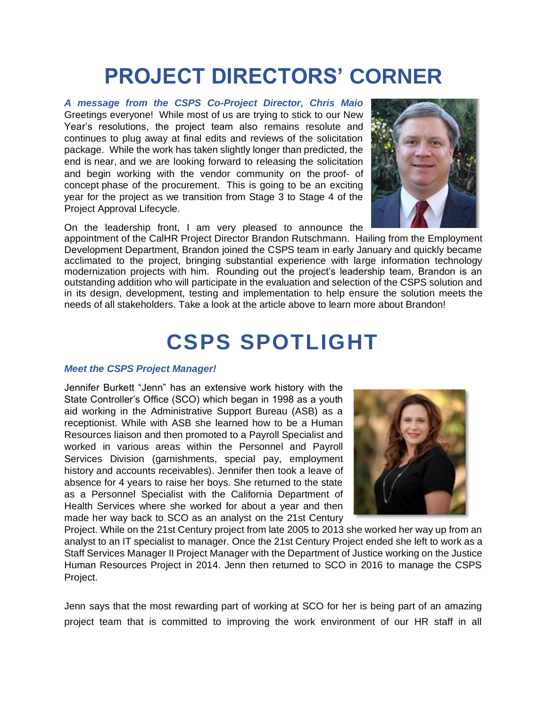## **PROJECT DIRECTORS' CORNER**

*A message from the CSPS Co-Project Director, Chris Maio*  Greetings everyone! While most of us are trying to stick to our New Year's resolutions, the project team also remains resolute and continues to plug away at final edits and reviews of the solicitation package. While the work has taken slightly longer than predicted, the end is near, and we are looking forward to releasing the solicitation and begin working with the vendor community on the proof- of concept phase of the procurement. This is going to be an exciting year for the project as we transition from Stage 3 to Stage 4 of the Project Approval Lifecycle.



On the leadership front, I am very pleased to announce the

appointment of the CalHR Project Director Brandon Rutschmann. Hailing from the Employment Development Department, Brandon joined the CSPS team in early January and quickly became acclimated to the project, bringing substantial experience with large information technology modernization projects with him. Rounding out the project's leadership team, Brandon is an outstanding addition who will participate in the evaluation and selection of the CSPS solution and in its design, development, testing and implementation to help ensure the solution meets the needs of all stakeholders. Take a look at the article above to learn more about Brandon!

### **CSPS SPOTLIGHT**

#### *Meet the CSPS Project Manager!*

Jennifer Burkett "Jenn" has an extensive work history with the State Controller's Office (SCO) which began in 1998 as a youth aid working in the Administrative Support Bureau (ASB) as a receptionist. While with ASB she learned how to be a Human Resources liaison and then promoted to a Payroll Specialist and worked in various areas within the Personnel and Payroll Services Division (garnishments, special pay, employment history and accounts receivables). Jennifer then took a leave of absence for 4 years to raise her boys. She returned to the state as a Personnel Specialist with the California Department of Health Services where she worked for about a year and then made her way back to SCO as an analyst on the 21st Century



Project. While on the 21st Century project from late 2005 to 2013 she worked her way up from an analyst to an IT specialist to manager. Once the 21st Century Project ended she left to work as a Staff Services Manager II Project Manager with the Department of Justice working on the Justice Human Resources Project in 2014. Jenn then returned to SCO in 2016 to manage the CSPS Project.

Jenn says that the most rewarding part of working at SCO for her is being part of an amazing project team that is committed to improving the work environment of our HR staff in all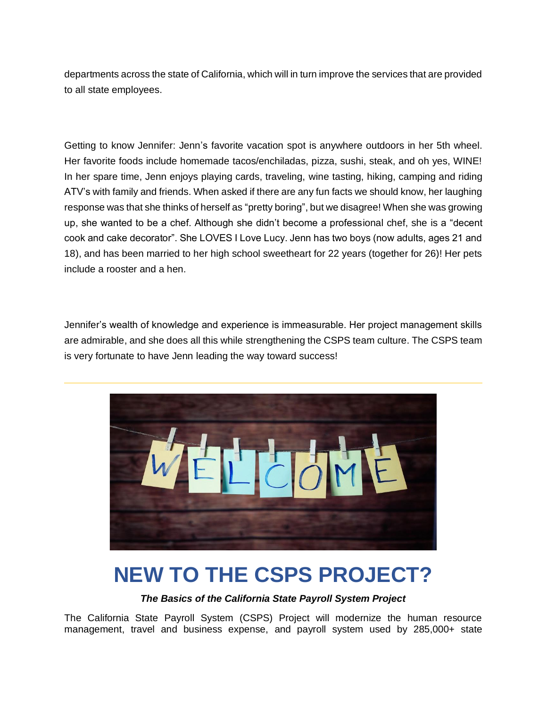departments across the state of California, which will in turn improve the services that are provided to all state employees.

Getting to know Jennifer: Jenn's favorite vacation spot is anywhere outdoors in her 5th wheel. Her favorite foods include homemade tacos/enchiladas, pizza, sushi, steak, and oh yes, WINE! In her spare time, Jenn enjoys playing cards, traveling, wine tasting, hiking, camping and riding ATV's with family and friends. When asked if there are any fun facts we should know, her laughing response was that she thinks of herself as "pretty boring", but we disagree! When she was growing up, she wanted to be a chef. Although she didn't become a professional chef, she is a "decent cook and cake decorator". She LOVES I Love Lucy. Jenn has two boys (now adults, ages 21 and 18), and has been married to her high school sweetheart for 22 years (together for 26)! Her pets include a rooster and a hen.

Jennifer's wealth of knowledge and experience is immeasurable. Her project management skills are admirable, and she does all this while strengthening the CSPS team culture. The CSPS team is very fortunate to have Jenn leading the way toward success!



### **NEW TO THE CSPS PROJECT?**

### *The Basics of the California State Payroll System Project*

The California State Payroll System (CSPS) Project will modernize the human resource management, travel and business expense, and payroll system used by 285,000+ state